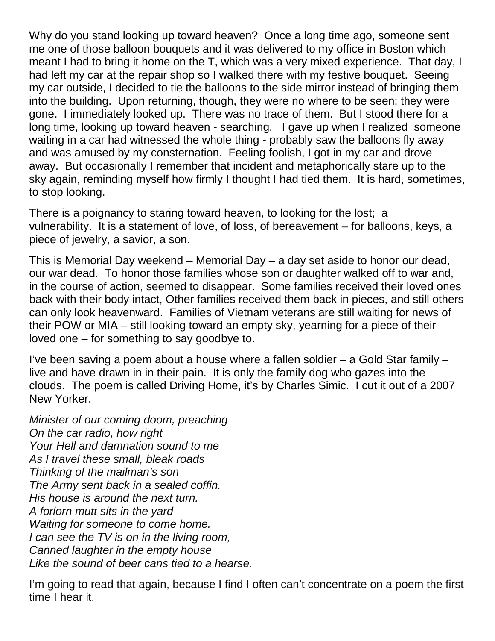Why do you stand looking up toward heaven? Once a long time ago, someone sent me one of those balloon bouquets and it was delivered to my office in Boston which meant I had to bring it home on the T, which was a very mixed experience. That day, I had left my car at the repair shop so I walked there with my festive bouquet. Seeing my car outside, I decided to tie the balloons to the side mirror instead of bringing them into the building. Upon returning, though, they were no where to be seen; they were gone. I immediately looked up. There was no trace of them. But I stood there for a long time, looking up toward heaven - searching. I gave up when I realized someone waiting in a car had witnessed the whole thing - probably saw the balloons fly away and was amused by my consternation. Feeling foolish, I got in my car and drove away. But occasionally I remember that incident and metaphorically stare up to the sky again, reminding myself how firmly I thought I had tied them. It is hard, sometimes, to stop looking.

There is a poignancy to staring toward heaven, to looking for the lost; a vulnerability. It is a statement of love, of loss, of bereavement – for balloons, keys, a piece of jewelry, a savior, a son.

This is Memorial Day weekend – Memorial Day – a day set aside to honor our dead, our war dead. To honor those families whose son or daughter walked off to war and, in the course of action, seemed to disappear. Some families received their loved ones back with their body intact, Other families received them back in pieces, and still others can only look heavenward. Families of Vietnam veterans are still waiting for news of their POW or MIA – still looking toward an empty sky, yearning for a piece of their loved one – for something to say goodbye to.

I've been saving a poem about a house where a fallen soldier – a Gold Star family – live and have drawn in in their pain. It is only the family dog who gazes into the clouds. The poem is called Driving Home, it's by Charles Simic. I cut it out of a 2007 New Yorker.

*Minister of our coming doom, preaching On the car radio, how right Your Hell and damnation sound to me As I travel these small, bleak roads Thinking of the mailman's son The Army sent back in a sealed coffin. His house is around the next turn. A forlorn mutt sits in the yard Waiting for someone to come home. I can see the TV is on in the living room, Canned laughter in the empty house Like the sound of beer cans tied to a hearse.*

I'm going to read that again, because I find I often can't concentrate on a poem the first time I hear it.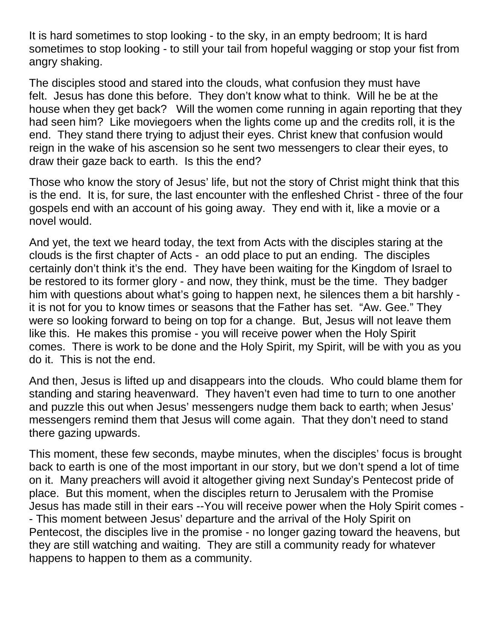It is hard sometimes to stop looking - to the sky, in an empty bedroom; It is hard sometimes to stop looking - to still your tail from hopeful wagging or stop your fist from angry shaking.

The disciples stood and stared into the clouds, what confusion they must have felt. Jesus has done this before. They don't know what to think. Will he be at the house when they get back? Will the women come running in again reporting that they had seen him? Like moviegoers when the lights come up and the credits roll, it is the end. They stand there trying to adjust their eyes. Christ knew that confusion would reign in the wake of his ascension so he sent two messengers to clear their eyes, to draw their gaze back to earth. Is this the end?

Those who know the story of Jesus' life, but not the story of Christ might think that this is the end. It is, for sure, the last encounter with the enfleshed Christ - three of the four gospels end with an account of his going away. They end with it, like a movie or a novel would.

And yet, the text we heard today, the text from Acts with the disciples staring at the clouds is the first chapter of Acts - an odd place to put an ending. The disciples certainly don't think it's the end. They have been waiting for the Kingdom of Israel to be restored to its former glory - and now, they think, must be the time. They badger him with questions about what's going to happen next, he silences them a bit harshly it is not for you to know times or seasons that the Father has set. "Aw. Gee." They were so looking forward to being on top for a change. But, Jesus will not leave them like this. He makes this promise - you will receive power when the Holy Spirit comes. There is work to be done and the Holy Spirit, my Spirit, will be with you as you do it. This is not the end.

And then, Jesus is lifted up and disappears into the clouds. Who could blame them for standing and staring heavenward. They haven't even had time to turn to one another and puzzle this out when Jesus' messengers nudge them back to earth; when Jesus' messengers remind them that Jesus will come again. That they don't need to stand there gazing upwards.

This moment, these few seconds, maybe minutes, when the disciples' focus is brought back to earth is one of the most important in our story, but we don't spend a lot of time on it. Many preachers will avoid it altogether giving next Sunday's Pentecost pride of place. But this moment, when the disciples return to Jerusalem with the Promise Jesus has made still in their ears --You will receive power when the Holy Spirit comes - - This moment between Jesus' departure and the arrival of the Holy Spirit on Pentecost, the disciples live in the promise - no longer gazing toward the heavens, but they are still watching and waiting. They are still a community ready for whatever happens to happen to them as a community.